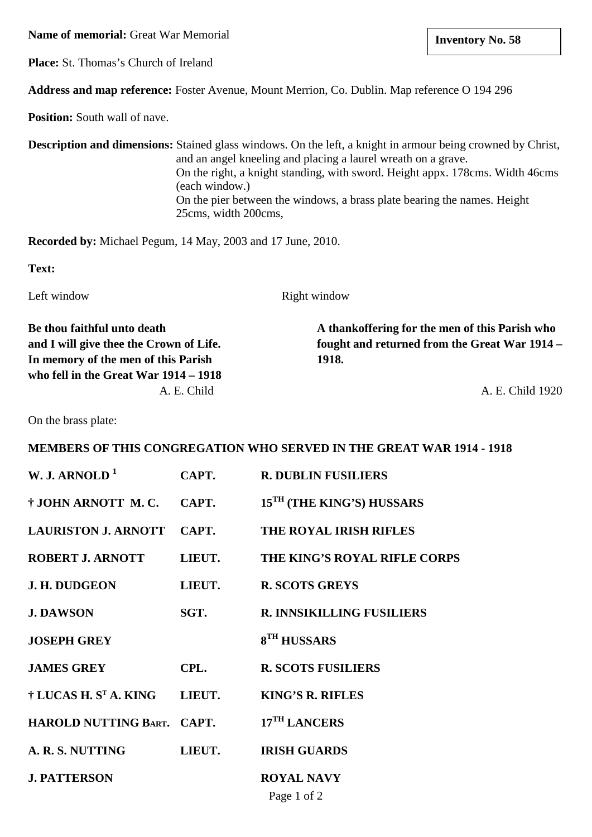**Name of memorial:** Great War Memorial

**Place:** St. Thomas's Church of Ireland

**Address and map reference:** Foster Avenue, Mount Merrion, Co. Dublin. Map reference O 194 296

**Position:** South wall of nave.

**Description and dimensions:** Stained glass windows. On the left, a knight in armour being crowned by Christ, and an angel kneeling and placing a laurel wreath on a grave. On the right, a knight standing, with sword. Height appx. 178cms. Width 46cms (each window.) On the pier between the windows, a brass plate bearing the names. Height 25cms, width 200cms,

**Recorded by:** Michael Pegum, 14 May, 2003 and 17 June, 2010.

**Text:**

Left window Right window

**In memory of the men of this Parish 1918. who fell in the Great War 1914 – 1918**

**Be thou faithful unto death A thankoffering for the men of this Parish who and I will give thee the Crown of Life. fought and returned from the Great War 1914 –**

A. E. Child 1920

On the brass plate:

## **MEMBERS OF THIS CONGREGATION WHO SERVED IN THE GREAT WAR 1914 - 1918**

| W. J. ARNOLD $1$                  | CAPT.  | <b>R. DUBLIN FUSILIERS</b>            |
|-----------------------------------|--------|---------------------------------------|
| † JOHN ARNOTT M.C.                | CAPT.  | 15 <sup>TH</sup> (THE KING'S) HUSSARS |
| <b>LAURISTON J. ARNOTT</b>        | CAPT.  | <b>THE ROYAL IRISH RIFLES</b>         |
| <b>ROBERT J. ARNOTT</b>           | LIEUT. | THE KING'S ROYAL RIFLE CORPS          |
| <b>J. H. DUDGEON</b>              | LIEUT. | <b>R. SCOTS GREYS</b>                 |
| <b>J. DAWSON</b>                  | SGT.   | <b>R. INNSIKILLING FUSILIERS</b>      |
| <b>JOSEPH GREY</b>                |        | 8 <sup>TH</sup> HUSSARS               |
| <b>JAMES GREY</b>                 | CPL.   | <b>R. SCOTS FUSILIERS</b>             |
| † LUCAS H. S <sup>t</sup> A. KING | LIEUT. | <b>KING'S R. RIFLES</b>               |
| HAROLD NUTTING BART. CAPT.        |        | 17 <sup>TH</sup> LANCERS              |
| A. R. S. NUTTING                  | LIEUT. | <b>IRISH GUARDS</b>                   |
| <b>J. PATTERSON</b>               |        | <b>ROYAL NAVY</b><br>Page 1 of 2      |